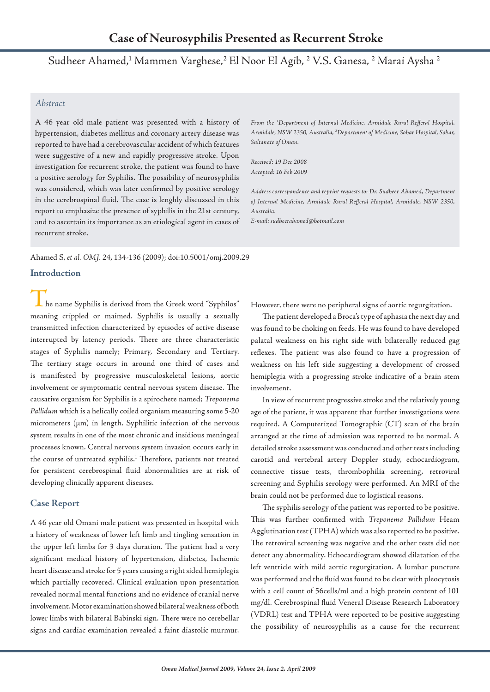# Sudheer Ahamed,<sup>1</sup> Mammen Varghese,<sup>2</sup> El Noor El Agib, <sup>2</sup> V.S. Ganesa, <sup>2</sup> Marai Aysha <sup>2</sup>

### *Abstract*

A 46 year old male patient was presented with a history of hypertension, diabetes mellitus and coronary artery disease was reported to have had a cerebrovascular accident of which features were suggestive of a new and rapidly progressive stroke. Upon investigation for recurrent stroke, the patient was found to have a positive serology for Syphilis. The possibility of neurosyphilis was considered, which was later confirmed by positive serology in the cerebrospinal fluid. The case is lenghly discussed in this report to emphasize the presence of syphilis in the 21st century, and to ascertain its importance as an etiological agent in cases of recurrent stroke.

Ahamed S, *et al. OMJ.* 24, 134-136 (2009); doi:10.5001/omj.2009.29

### **Introduction**

he name Syphilis is derived from the Greek word "Syphilos" meaning crippled or maimed. Syphilis is usually a sexually transmitted infection characterized by episodes of active disease interrupted by latency periods. There are three characteristic stages of Syphilis namely; Primary, Secondary and Tertiary. The tertiary stage occurs in around one third of cases and is manifested by progressive musculoskeletal lesions, aortic involvement or symptomatic central nervous system disease. The causative organism for Syphilis is a spirochete named; *Treponema Pallidum* which is a helically coiled organism measuring some 5-20 micrometers ( $\mu$ m) in length. Syphilitic infection of the nervous system results in one of the most chronic and insidious meningeal processes known. Central nervous system invasion occurs early in the course of untreated syphilis.<sup>1</sup> Therefore, patients not treated for persistent cerebrospinal fluid abnormalities are at risk of developing clinically apparent diseases.

## **Case Report**

A 46 year old Omani male patient was presented in hospital with a history of weakness of lower left limb and tingling sensation in the upper left limbs for 3 days duration. The patient had a very significant medical history of hypertension, diabetes, Ischemic heart disease and stroke for 5 years causing a right sided hemiplegia which partially recovered. Clinical evaluation upon presentation revealed normal mental functions and no evidence of cranial nerve involvement. Motor examination showed bilateral weakness of both lower limbs with bilateral Babinski sign. There were no cerebellar signs and cardiac examination revealed a faint diastolic murmur.

*From the 1 Department of Internal Medicine, Armidale Rural Refferal Hospital, Armidale, NSW 2350, Australia, 2 Department of Medicine, Sohar Hospital, Sohar, Sultanate of Oman.* 

*Received: 19 Dec 2008 Accepted: 16 Feb 2009*

*Address correspondence and reprint requests to: Dr. Sudheer Ahamed, Department of Internal Medicine, Armidale Rural Refferal Hospital, Armidale, NSW 2350, Australia.*

*E-mail: sudheerahamed@hotmail.com*

However, there were no peripheral signs of aortic regurgitation.

The patient developed a Broca's type of aphasia the next day and was found to be choking on feeds. He was found to have developed palatal weakness on his right side with bilaterally reduced gag reflexes. The patient was also found to have a progression of weakness on his left side suggesting a development of crossed hemiplegia with a progressing stroke indicative of a brain stem involvement.

In view of recurrent progressive stroke and the relatively young age of the patient, it was apparent that further investigations were required. A Computerized Tomographic (CT) scan of the brain arranged at the time of admission was reported to be normal. A detailed stroke assessment was conducted and other tests including carotid and vertebral artery Doppler study, echocardiogram, connective tissue tests, thrombophilia screening, retroviral screening and Syphilis serology were performed. An MRI of the brain could not be performed due to logistical reasons.

The syphilis serology of the patient was reported to be positive. This was further confirmed with *Treponema Pallidum* Heam Agglutination test (TPHA) which was also reported to be positive. The retroviral screening was negative and the other tests did not detect any abnormality. Echocardiogram showed dilatation of the left ventricle with mild aortic regurgitation. A lumbar puncture was performed and the fluid was found to be clear with pleocytosis with a cell count of 56cells/ml and a high protein content of 101 mg/dl. Cerebrospinal fluid Veneral Disease Research Laboratory (VDRL) test and TPHA were reported to be positive suggesting the possibility of neurosyphilis as a cause for the recurrent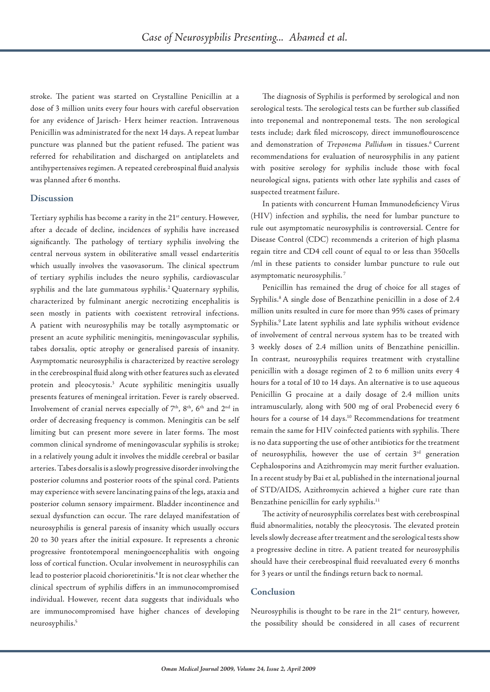stroke. The patient was started on Crystalline Penicillin at a dose of 3 million units every four hours with careful observation for any evidence of Jarisch- Herx heimer reaction. Intravenous Penicillin was administrated for the next 14 days. A repeat lumbar puncture was planned but the patient refused. The patient was referred for rehabilitation and discharged on antiplatelets and antihypertensives regimen. A repeated cerebrospinal fluid analysis was planned after 6 months.

#### **Discussion**

Tertiary syphilis has become a rarity in the 21<sup>st</sup> century. However, after a decade of decline, incidences of syphilis have increased significantly. The pathology of tertiary syphilis involving the central nervous system in obiliterative small vessel endarteritis which usually involves the vasovasorum. The clinical spectrum of tertiary syphilis includes the neuro syphilis, cardiovascular syphilis and the late gummatous syphilis.<sup>2</sup> Quaternary syphilis, characterized by fulminant anergic necrotizing encephalitis is seen mostly in patients with coexistent retroviral infections. A patient with neurosyphilis may be totally asymptomatic or present an acute syphilitic meningitis, meningovascular syphilis, tabes dorsalis, optic atrophy or generalised paresis of insanity. Asymptomatic neurosyphilis is characterized by reactive serology in the cerebrospinal fluid along with other features such as elevated protein and pleocytosis.3 Acute syphilitic meningitis usually presents features of meningeal irritation. Fever is rarely observed. Involvement of cranial nerves especially of 7<sup>th</sup>, 8<sup>th</sup>, 6<sup>th</sup> and 2<sup>nd</sup> in order of decreasing frequency is common. Meningitis can be self limiting but can present more severe in later forms. The most common clinical syndrome of meningovascular syphilis is stroke; in a relatively young adult it involves the middle cerebral or basilar arteries. Tabes dorsalis is a slowly progressive disorder involving the posterior columns and posterior roots of the spinal cord. Patients may experience with severe lancinating pains of the legs, ataxia and posterior column sensory impairment. Bladder incontinence and sexual dysfunction can occur. The rare delayed manifestation of neurosyphilis is general paresis of insanity which usually occurs 20 to 30 years after the initial exposure. It represents a chronic progressive frontotemporal meningoencephalitis with ongoing loss of cortical function. Ocular involvement in neurosyphilis can lead to posterior placoid chorioretinitis.<sup>4</sup> It is not clear whether the clinical spectrum of syphilis differs in an immunocompromised individual. However, recent data suggests that individuals who are immunocompromised have higher chances of developing neurosyphilis.5

The diagnosis of Syphilis is performed by serological and non serological tests. The serological tests can be further sub classified into treponemal and nontreponemal tests. The non serological tests include; dark filed microscopy, direct immunoflouroscence and demonstration of *Treponema Pallidum* in tissues.<sup>6</sup> Current recommendations for evaluation of neurosyphilis in any patient with positive serology for syphilis include those with focal neurological signs, patients with other late syphilis and cases of suspected treatment failure.

In patients with concurrent Human Immunodeficiency Virus (HIV) infection and syphilis, the need for lumbar puncture to rule out asymptomatic neurosyphilis is controversial. Centre for Disease Control (CDC) recommends a criterion of high plasma regain titre and CD4 cell count of equal to or less than 350cells /ml in these patients to consider lumbar puncture to rule out asymptomatic neurosyphilis. 7

Penicillin has remained the drug of choice for all stages of Syphilis.<sup>8</sup> A single dose of Benzathine penicillin in a dose of 2.4 million units resulted in cure for more than 95% cases of primary Syphilis.<sup>9</sup> Late latent syphilis and late syphilis without evidence of involvement of central nervous system has to be treated with 3 weekly doses of 2.4 million units of Benzathine penicillin. In contrast, neurosyphilis requires treatment with crystalline penicillin with a dosage regimen of 2 to 6 million units every 4 hours for a total of 10 to 14 days. An alternative is to use aqueous Penicillin G procaine at a daily dosage of 2.4 million units intramuscularly, along with 500 mg of oral Probenecid every 6 hours for a course of 14 days.<sup>10</sup> Recommendations for treatment remain the same for HIV coinfected patients with syphilis. There is no data supporting the use of other antibiotics for the treatment of neurosyphilis, however the use of certain  $3<sup>rd</sup>$  generation Cephalosporins and Azithromycin may merit further evaluation. In a recent study by Bai et al, published in the international journal of STD/AIDS, Azithromycin achieved a higher cure rate than Benzathine penicillin for early syphilis.<sup>11</sup>

The activity of neurosyphilis correlates best with cerebrospinal fluid abnormalities, notably the pleocytosis. The elevated protein levels slowly decrease after treatment and the serological tests show a progressive decline in titre. A patient treated for neurosyphilis should have their cerebrospinal fluid reevaluated every 6 months for 3 years or until the findings return back to normal.

#### **Conclusion**

Neurosyphilis is thought to be rare in the 21<sup>st</sup> century, however, the possibility should be considered in all cases of recurrent